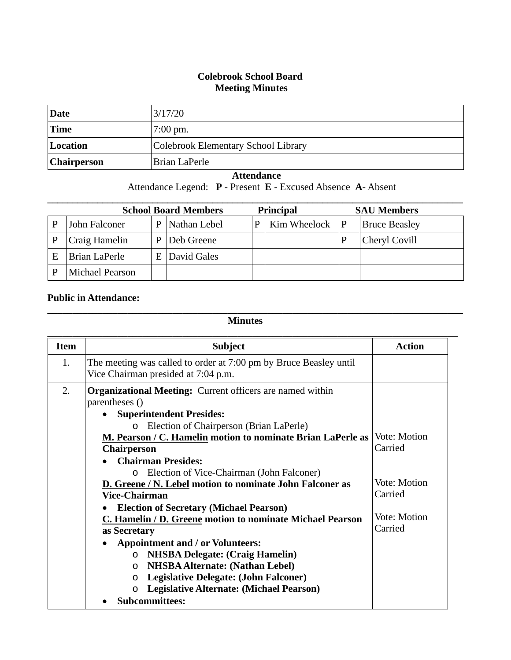## **Colebrook School Board Meeting Minutes**

| Date               | 3/17/20                             |
|--------------------|-------------------------------------|
| Time               | $7:00 \text{ pm}$ .                 |
| Location           | Colebrook Elementary School Library |
| <b>Chairperson</b> | Brian LaPerle                       |

## **Attendance**

Attendance Legend: **P** - Present **E** - Excused Absence **A**- Absent

| <b>School Board Members</b><br><b>Principal</b> |                        |   |              | <b>SAU Members</b> |              |   |                      |
|-------------------------------------------------|------------------------|---|--------------|--------------------|--------------|---|----------------------|
|                                                 | John Falconer          | P | Nathan Lebel | р                  | Kim Wheelock | P | <b>Bruce Beasley</b> |
|                                                 | Craig Hamelin          | P | Deb Greene   |                    |              |   | Cheryl Covill        |
| E                                               | Brian LaPerle          | E | David Gales  |                    |              |   |                      |
|                                                 | <b>Michael Pearson</b> |   |              |                    |              |   |                      |

## **Public in Attendance:**

## **Minutes**

**\_\_\_\_\_\_\_\_\_\_\_\_\_\_\_\_\_\_\_\_\_\_\_\_\_\_\_\_\_\_\_\_\_\_\_\_\_\_\_\_\_\_\_\_\_\_\_\_\_\_\_\_\_\_\_\_\_\_\_\_\_\_\_\_\_\_\_\_\_\_\_\_\_\_\_\_\_\_\_\_\_\_\_**

| <b>Item</b> | <b>Subject</b>                                                                                           | <b>Action</b> |
|-------------|----------------------------------------------------------------------------------------------------------|---------------|
| 1.          | The meeting was called to order at 7:00 pm by Bruce Beasley until<br>Vice Chairman presided at 7:04 p.m. |               |
| 2.          | <b>Organizational Meeting:</b> Current officers are named within<br>parentheses ()                       |               |
|             | <b>Superintendent Presides:</b><br>$\bullet$                                                             |               |
|             | Election of Chairperson (Brian LaPerle)<br>$\circ$                                                       |               |
|             | M. Pearson / C. Hamelin motion to nominate Brian LaPerle as                                              | Vote: Motion  |
|             | <b>Chairperson</b>                                                                                       | Carried       |
|             | <b>Chairman Presides:</b>                                                                                |               |
|             | Election of Vice-Chairman (John Falconer)<br>$\circ$                                                     |               |
|             | D. Greene / N. Lebel motion to nominate John Falconer as                                                 | Vote: Motion  |
|             | <b>Vice-Chairman</b>                                                                                     | Carried       |
|             | <b>Election of Secretary (Michael Pearson)</b>                                                           |               |
|             | C. Hamelin / D. Greene motion to nominate Michael Pearson                                                | Vote: Motion  |
|             | as Secretary                                                                                             | Carried       |
|             | <b>Appointment and / or Volunteers:</b>                                                                  |               |
|             | <b>NHSBA Delegate: (Craig Hamelin)</b><br>$\circ$                                                        |               |
|             | <b>NHSBA Alternate: (Nathan Lebel)</b><br>$\circ$                                                        |               |
|             | Legislative Delegate: (John Falconer)<br>$\circ$                                                         |               |
|             | <b>Legislative Alternate: (Michael Pearson)</b><br>$\circ$                                               |               |
|             | <b>Subcommittees:</b>                                                                                    |               |
|             |                                                                                                          |               |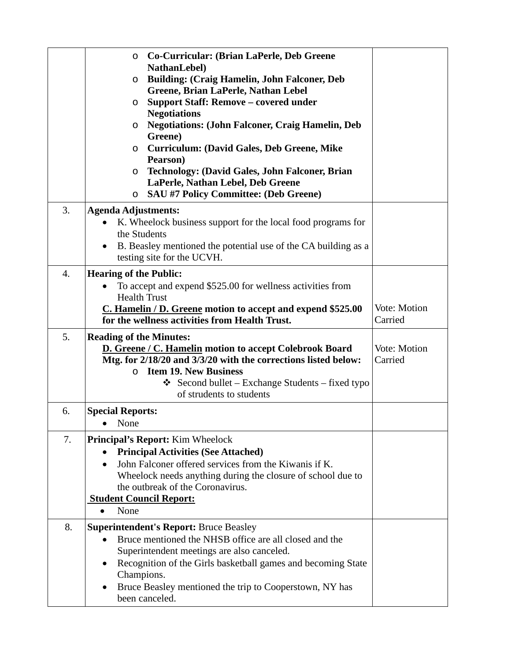|    | Co-Curricular: (Brian LaPerle, Deb Greene<br>$\circ$<br><b>NathanLebel)</b><br><b>Building: (Craig Hamelin, John Falconer, Deb</b><br>$\circ$<br>Greene, Brian LaPerle, Nathan Lebel<br>Support Staff: Remove - covered under<br>$\circ$<br><b>Negotiations</b><br><b>Negotiations: (John Falconer, Craig Hamelin, Deb</b><br>$\circ$<br>Greene)<br><b>Curriculum: (David Gales, Deb Greene, Mike</b><br>O<br>Pearson)<br><b>Technology: (David Gales, John Falconer, Brian</b><br>$\circ$<br>LaPerle, Nathan Lebel, Deb Greene<br><b>SAU #7 Policy Committee: (Deb Greene)</b><br>$\circ$ |                         |
|----|--------------------------------------------------------------------------------------------------------------------------------------------------------------------------------------------------------------------------------------------------------------------------------------------------------------------------------------------------------------------------------------------------------------------------------------------------------------------------------------------------------------------------------------------------------------------------------------------|-------------------------|
| 3. | <b>Agenda Adjustments:</b><br>K. Wheelock business support for the local food programs for<br>the Students<br>B. Beasley mentioned the potential use of the CA building as a<br>testing site for the UCVH.                                                                                                                                                                                                                                                                                                                                                                                 |                         |
| 4. | <b>Hearing of the Public:</b><br>To accept and expend \$525.00 for wellness activities from<br>$\bullet$<br><b>Health Trust</b><br>C. Hamelin / D. Greene motion to accept and expend \$525.00<br>for the wellness activities from Health Trust.                                                                                                                                                                                                                                                                                                                                           | Vote: Motion<br>Carried |
| 5. | <b>Reading of the Minutes:</b><br>D. Greene / C. Hamelin motion to accept Colebrook Board<br>Mtg. for 2/18/20 and 3/3/20 with the corrections listed below:<br><b>Item 19. New Business</b><br>$\circ$<br>Second bullet – Exchange Students – fixed typo<br>of strudents to students                                                                                                                                                                                                                                                                                                       | Vote: Motion<br>Carried |
| 6. | <b>Special Reports:</b><br>None                                                                                                                                                                                                                                                                                                                                                                                                                                                                                                                                                            |                         |
| 7. | <b>Principal's Report:</b> Kim Wheelock<br><b>Principal Activities (See Attached)</b><br>John Falconer offered services from the Kiwanis if K.<br>Wheelock needs anything during the closure of school due to<br>the outbreak of the Coronavirus.<br><b>Student Council Report:</b><br>None<br>$\bullet$                                                                                                                                                                                                                                                                                   |                         |
| 8. | <b>Superintendent's Report: Bruce Beasley</b><br>Bruce mentioned the NHSB office are all closed and the<br>$\bullet$<br>Superintendent meetings are also canceled.<br>Recognition of the Girls basketball games and becoming State<br>$\bullet$<br>Champions.<br>Bruce Beasley mentioned the trip to Cooperstown, NY has<br>been canceled.                                                                                                                                                                                                                                                 |                         |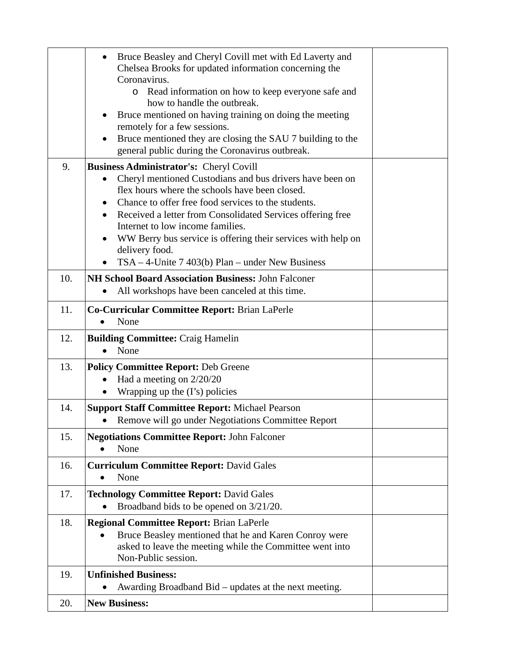|     | Bruce Beasley and Cheryl Covill met with Ed Laverty and<br>Chelsea Brooks for updated information concerning the |  |
|-----|------------------------------------------------------------------------------------------------------------------|--|
|     | Coronavirus.<br>Read information on how to keep everyone safe and                                                |  |
|     | how to handle the outbreak.                                                                                      |  |
|     | Bruce mentioned on having training on doing the meeting                                                          |  |
|     | remotely for a few sessions.                                                                                     |  |
|     | Bruce mentioned they are closing the SAU 7 building to the<br>$\bullet$                                          |  |
|     | general public during the Coronavirus outbreak.                                                                  |  |
| 9.  | <b>Business Administrator's: Cheryl Covill</b>                                                                   |  |
|     | Cheryl mentioned Custodians and bus drivers have been on                                                         |  |
|     | flex hours where the schools have been closed.<br>Chance to offer free food services to the students.            |  |
|     | Received a letter from Consolidated Services offering free                                                       |  |
|     | Internet to low income families.                                                                                 |  |
|     | WW Berry bus service is offering their services with help on                                                     |  |
|     | delivery food.                                                                                                   |  |
|     | $TSA - 4$ -Unite 7 403(b) Plan – under New Business                                                              |  |
| 10. | <b>NH School Board Association Business: John Falconer</b>                                                       |  |
|     | All workshops have been canceled at this time.                                                                   |  |
| 11. | <b>Co-Curricular Committee Report: Brian LaPerle</b><br>None                                                     |  |
|     |                                                                                                                  |  |
| 12. | <b>Building Committee: Craig Hamelin</b>                                                                         |  |
|     | None<br>$\bullet$                                                                                                |  |
| 13. | <b>Policy Committee Report: Deb Greene</b>                                                                       |  |
|     | Had a meeting on $2/20/20$                                                                                       |  |
|     | Wrapping up the $(1's)$ policies<br>$\bullet$                                                                    |  |
| 14. | <b>Support Staff Committee Report: Michael Pearson</b>                                                           |  |
|     | • Remove will go under Negotiations Committee Report                                                             |  |
| 15. | <b>Negotiations Committee Report: John Falconer</b>                                                              |  |
|     | None                                                                                                             |  |
| 16. | <b>Curriculum Committee Report: David Gales</b>                                                                  |  |
|     | None                                                                                                             |  |
| 17. | <b>Technology Committee Report: David Gales</b>                                                                  |  |
|     | Broadband bids to be opened on 3/21/20.<br>$\bullet$                                                             |  |
| 18. | <b>Regional Committee Report: Brian LaPerle</b>                                                                  |  |
|     | Bruce Beasley mentioned that he and Karen Conroy were<br>$\bullet$                                               |  |
|     | asked to leave the meeting while the Committee went into                                                         |  |
|     | Non-Public session.                                                                                              |  |
| 19. | <b>Unfinished Business:</b>                                                                                      |  |
|     | Awarding Broadband Bid – updates at the next meeting.                                                            |  |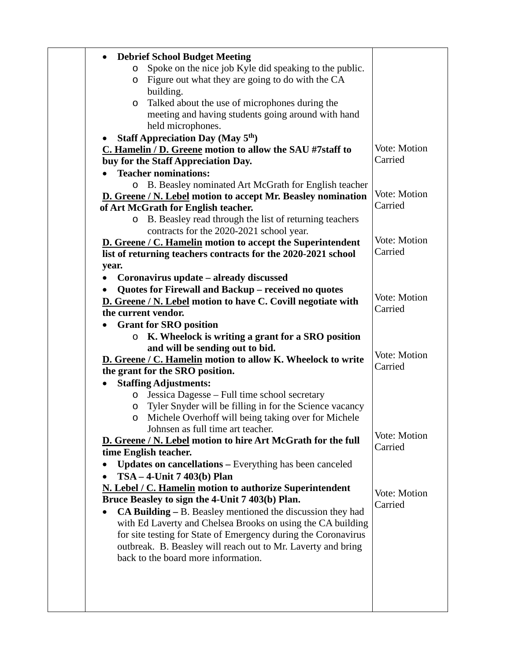| <b>Debrief School Budget Meeting</b><br>$\bullet$                                                           |              |
|-------------------------------------------------------------------------------------------------------------|--------------|
| Spoke on the nice job Kyle did speaking to the public.<br>O                                                 |              |
| Figure out what they are going to do with the CA<br>$\circ$                                                 |              |
| building.                                                                                                   |              |
| Talked about the use of microphones during the<br>O                                                         |              |
| meeting and having students going around with hand                                                          |              |
| held microphones.                                                                                           |              |
| <b>Staff Appreciation Day (May 5th)</b><br>C. Hamelin / D. Greene motion to allow the SAU #7staff to        | Vote: Motion |
| buy for the Staff Appreciation Day.                                                                         | Carried      |
| <b>Teacher nominations:</b>                                                                                 |              |
| o B. Beasley nominated Art McGrath for English teacher                                                      |              |
| D. Greene / N. Lebel motion to accept Mr. Beasley nomination                                                | Vote: Motion |
| of Art McGrath for English teacher.                                                                         | Carried      |
| B. Beasley read through the list of returning teachers<br>$\circ$                                           |              |
| contracts for the 2020-2021 school year.                                                                    |              |
| D. Greene / C. Hamelin motion to accept the Superintendent                                                  | Vote: Motion |
| list of returning teachers contracts for the 2020-2021 school                                               | Carried      |
| year.                                                                                                       |              |
| Coronavirus update – already discussed<br>$\bullet$                                                         |              |
| Quotes for Firewall and Backup - received no quotes                                                         | Vote: Motion |
| D. Greene / N. Lebel motion to have C. Covill negotiate with                                                | Carried      |
| the current vendor.                                                                                         |              |
| <b>Grant for SRO position</b><br>K. Wheelock is writing a grant for a SRO position<br>$\circ$               |              |
| and will be sending out to bid.                                                                             |              |
| D. Greene / C. Hamelin motion to allow K. Wheelock to write                                                 | Vote: Motion |
| the grant for the SRO position.                                                                             | Carried      |
| <b>Staffing Adjustments:</b>                                                                                |              |
| Jessica Dagesse – Full time school secretary<br>$\circ$                                                     |              |
| Tyler Snyder will be filling in for the Science vacancy<br>$\circ$                                          |              |
| Michele Overhoff will being taking over for Michele<br>O                                                    |              |
| Johnsen as full time art teacher.                                                                           | Vote: Motion |
| D. Greene / N. Lebel motion to hire Art McGrath for the full                                                | Carried      |
| time English teacher.                                                                                       |              |
| <b>Updates on cancellations – Everything has been canceled</b>                                              |              |
| $TSA - 4$ -Unit 7 403(b) Plan<br>$\bullet$                                                                  |              |
| N. Lebel / C. Hamelin motion to authorize Superintendent<br>Bruce Beasley to sign the 4-Unit 7 403(b) Plan. | Vote: Motion |
| $CA$ Building $- B$ . Beasley mentioned the discussion they had<br>$\bullet$                                | Carried      |
| with Ed Laverty and Chelsea Brooks on using the CA building                                                 |              |
| for site testing for State of Emergency during the Coronavirus                                              |              |
| outbreak. B. Beasley will reach out to Mr. Laverty and bring                                                |              |
| back to the board more information.                                                                         |              |
|                                                                                                             |              |
|                                                                                                             |              |
|                                                                                                             |              |
|                                                                                                             |              |